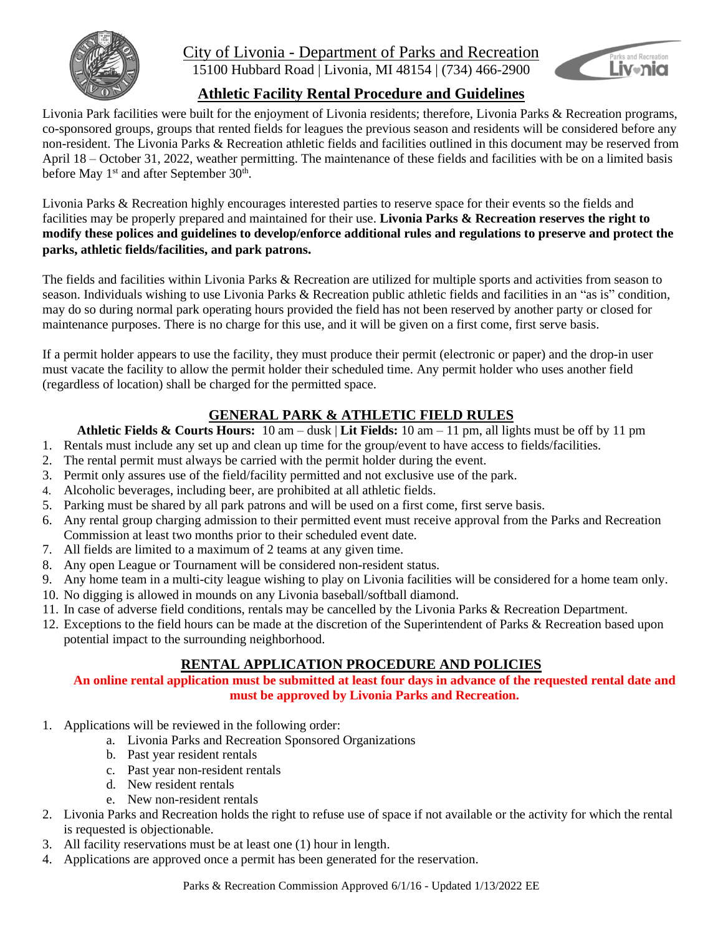

## City of Livonia - Department of Parks and Recreation 15100 Hubbard Road | Livonia, MI 48154 | (734) 466-2900



# **Athletic Facility Rental Procedure and Guidelines**

Livonia Park facilities were built for the enjoyment of Livonia residents; therefore, Livonia Parks & Recreation programs, co-sponsored groups, groups that rented fields for leagues the previous season and residents will be considered before any non-resident. The Livonia Parks & Recreation athletic fields and facilities outlined in this document may be reserved from April 18 – October 31, 2022, weather permitting. The maintenance of these fields and facilities with be on a limited basis before May 1<sup>st</sup> and after September 30<sup>th</sup>.

Livonia Parks & Recreation highly encourages interested parties to reserve space for their events so the fields and facilities may be properly prepared and maintained for their use. **Livonia Parks & Recreation reserves the right to modify these polices and guidelines to develop/enforce additional rules and regulations to preserve and protect the parks, athletic fields/facilities, and park patrons.**

The fields and facilities within Livonia Parks & Recreation are utilized for multiple sports and activities from season to season. Individuals wishing to use Livonia Parks & Recreation public athletic fields and facilities in an "as is" condition, may do so during normal park operating hours provided the field has not been reserved by another party or closed for maintenance purposes. There is no charge for this use, and it will be given on a first come, first serve basis.

If a permit holder appears to use the facility, they must produce their permit (electronic or paper) and the drop-in user must vacate the facility to allow the permit holder their scheduled time. Any permit holder who uses another field (regardless of location) shall be charged for the permitted space.

# **GENERAL PARK & ATHLETIC FIELD RULES**

## **Athletic Fields & Courts Hours:** 10 am – dusk | **Lit Fields:** 10 am – 11 pm, all lights must be off by 11 pm

- 1. Rentals must include any set up and clean up time for the group/event to have access to fields/facilities.
- 2. The rental permit must always be carried with the permit holder during the event.
- 3. Permit only assures use of the field/facility permitted and not exclusive use of the park.
- 4. Alcoholic beverages, including beer, are prohibited at all athletic fields.
- 5. Parking must be shared by all park patrons and will be used on a first come, first serve basis.
- 6. Any rental group charging admission to their permitted event must receive approval from the Parks and Recreation Commission at least two months prior to their scheduled event date.
- 7. All fields are limited to a maximum of 2 teams at any given time.
- 8. Any open League or Tournament will be considered non-resident status.
- 9. Any home team in a multi-city league wishing to play on Livonia facilities will be considered for a home team only.
- 10. No digging is allowed in mounds on any Livonia baseball/softball diamond.
- 11. In case of adverse field conditions, rentals may be cancelled by the Livonia Parks & Recreation Department.
- 12. Exceptions to the field hours can be made at the discretion of the Superintendent of Parks & Recreation based upon potential impact to the surrounding neighborhood.

## **RENTAL APPLICATION PROCEDURE AND POLICIES**

**An online rental application must be submitted at least four days in advance of the requested rental date and must be approved by Livonia Parks and Recreation.**

- 1. Applications will be reviewed in the following order:
	- a. Livonia Parks and Recreation Sponsored Organizations
	- b. Past year resident rentals
	- c. Past year non-resident rentals
	- d. New resident rentals
	- e. New non-resident rentals
- 2. Livonia Parks and Recreation holds the right to refuse use of space if not available or the activity for which the rental is requested is objectionable.
- 3. All facility reservations must be at least one (1) hour in length.
- 4. Applications are approved once a permit has been generated for the reservation.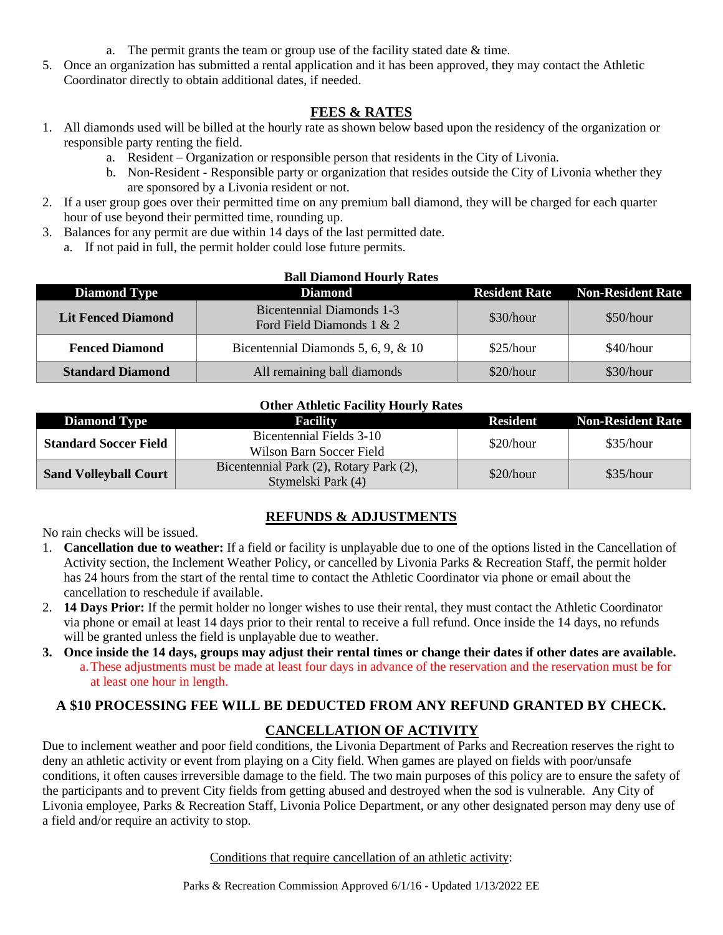- a. The permit grants the team or group use of the facility stated date & time.
- 5. Once an organization has submitted a rental application and it has been approved, they may contact the Athletic Coordinator directly to obtain additional dates, if needed.

## **FEES & RATES**

- 1. All diamonds used will be billed at the hourly rate as shown below based upon the residency of the organization or responsible party renting the field.
	- a. Resident Organization or responsible person that residents in the City of Livonia.
	- b. Non-Resident Responsible party or organization that resides outside the City of Livonia whether they are sponsored by a Livonia resident or not.
- 2. If a user group goes over their permitted time on any premium ball diamond, they will be charged for each quarter hour of use beyond their permitted time, rounding up.
- 3. Balances for any permit are due within 14 days of the last permitted date.
	- a. If not paid in full, the permit holder could lose future permits.

| <b>Ball Diamond Hourly Rates</b> |                                                        |           |                                        |  |
|----------------------------------|--------------------------------------------------------|-----------|----------------------------------------|--|
| <b>Diamond Type</b>              | <b>Diamond</b>                                         |           | <b>Resident Rate Non-Resident Rate</b> |  |
| <b>Lit Fenced Diamond</b>        | Bicentennial Diamonds 1-3<br>Ford Field Diamonds 1 & 2 | \$30/hour | \$50/hour                              |  |
| <b>Fenced Diamond</b>            | Bicentennial Diamonds 5, 6, 9, $\&$ 10                 | \$25/hour | \$40/hour                              |  |
| <b>Standard Diamond</b>          | All remaining ball diamonds                            | \$20/hour | \$30/hour                              |  |

#### **Other Athletic Facility Hourly Rates**

| <b>Diamond Type</b>          | Facility                                                      | Resident  | <b>Non-Resident Rate</b> |
|------------------------------|---------------------------------------------------------------|-----------|--------------------------|
| <b>Standard Soccer Field</b> | Bicentennial Fields 3-10                                      | \$20/hour | \$35/hour                |
|                              | Wilson Barn Soccer Field                                      |           |                          |
| <b>Sand Volleyball Court</b> | Bicentennial Park (2), Rotary Park (2),<br>Stymelski Park (4) | \$20/hour | \$35/hour                |

## **REFUNDS & ADJUSTMENTS**

No rain checks will be issued.

- 1. **Cancellation due to weather:** If a field or facility is unplayable due to one of the options listed in the Cancellation of Activity section, the Inclement Weather Policy, or cancelled by Livonia Parks & Recreation Staff, the permit holder has 24 hours from the start of the rental time to contact the Athletic Coordinator via phone or email about the cancellation to reschedule if available.
- 2. **14 Days Prior:** If the permit holder no longer wishes to use their rental, they must contact the Athletic Coordinator via phone or email at least 14 days prior to their rental to receive a full refund. Once inside the 14 days, no refunds will be granted unless the field is unplayable due to weather.
- **3. Once inside the 14 days, groups may adjust their rental times or change their dates if other dates are available.**  a.These adjustments must be made at least four days in advance of the reservation and the reservation must be for at least one hour in length.

## **A \$10 PROCESSING FEE WILL BE DEDUCTED FROM ANY REFUND GRANTED BY CHECK.**

#### **CANCELLATION OF ACTIVITY**

Due to inclement weather and poor field conditions, the Livonia Department of Parks and Recreation reserves the right to deny an athletic activity or event from playing on a City field. When games are played on fields with poor/unsafe conditions, it often causes irreversible damage to the field. The two main purposes of this policy are to ensure the safety of the participants and to prevent City fields from getting abused and destroyed when the sod is vulnerable. Any City of Livonia employee, Parks & Recreation Staff, Livonia Police Department, or any other designated person may deny use of a field and/or require an activity to stop.

Conditions that require cancellation of an athletic activity: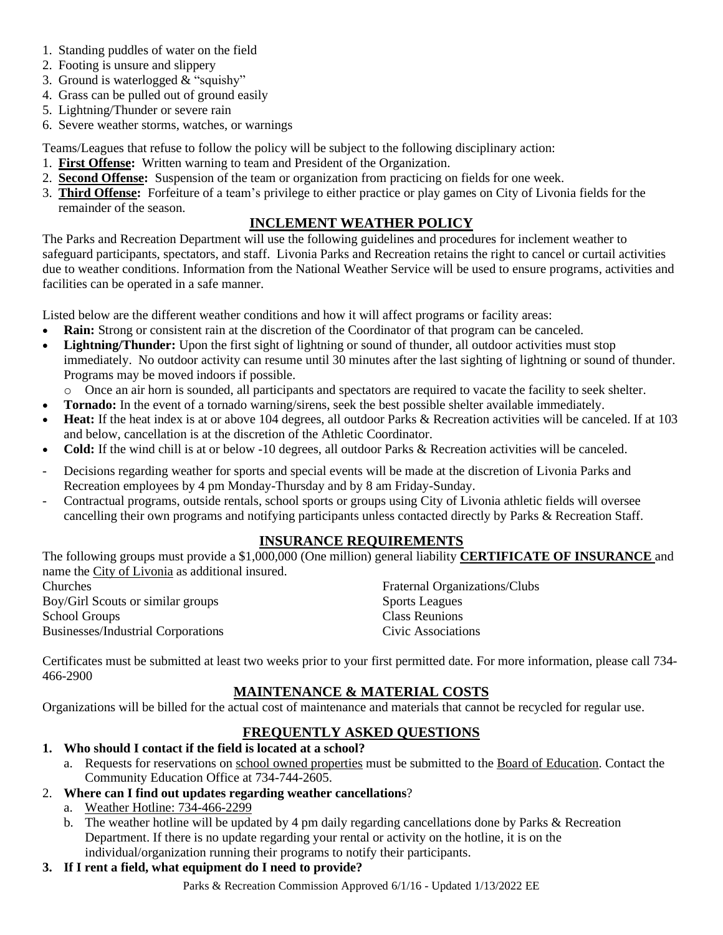- 1. Standing puddles of water on the field
- 2. Footing is unsure and slippery
- 3. Ground is waterlogged & "squishy"
- 4. Grass can be pulled out of ground easily
- 5. Lightning/Thunder or severe rain
- 6. Severe weather storms, watches, or warnings

Teams/Leagues that refuse to follow the policy will be subject to the following disciplinary action:

- 1. **First Offense:** Written warning to team and President of the Organization.
- 2. **Second Offense:** Suspension of the team or organization from practicing on fields for one week.
- 3. **Third Offense:** Forfeiture of a team's privilege to either practice or play games on City of Livonia fields for the remainder of the season.

### **INCLEMENT WEATHER POLICY**

The Parks and Recreation Department will use the following guidelines and procedures for inclement weather to safeguard participants, spectators, and staff. Livonia Parks and Recreation retains the right to cancel or curtail activities due to weather conditions. Information from the National Weather Service will be used to ensure programs, activities and facilities can be operated in a safe manner.

Listed below are the different weather conditions and how it will affect programs or facility areas:

- **Rain:** Strong or consistent rain at the discretion of the Coordinator of that program can be canceled.
- **Lightning/Thunder:** Upon the first sight of lightning or sound of thunder, all outdoor activities must stop immediately. No outdoor activity can resume until 30 minutes after the last sighting of lightning or sound of thunder. Programs may be moved indoors if possible.
- o Once an air horn is sounded, all participants and spectators are required to vacate the facility to seek shelter.
- **Tornado:** In the event of a tornado warning/sirens, seek the best possible shelter available immediately.
- **Heat:** If the heat index is at or above 104 degrees, all outdoor Parks & Recreation activities will be canceled. If at 103 and below, cancellation is at the discretion of the Athletic Coordinator.
- **Cold:** If the wind chill is at or below -10 degrees, all outdoor Parks & Recreation activities will be canceled.
- Decisions regarding weather for sports and special events will be made at the discretion of Livonia Parks and Recreation employees by 4 pm Monday-Thursday and by 8 am Friday-Sunday.
- Contractual programs, outside rentals, school sports or groups using City of Livonia athletic fields will oversee cancelling their own programs and notifying participants unless contacted directly by Parks & Recreation Staff.

#### **INSURANCE REQUIREMENTS**

The following groups must provide a \$1,000,000 (One million) general liability **CERTIFICATE OF INSURANCE** and name the City of Livonia as additional insured.

| Churches                                  | <b>Fraternal Organizations/Clubs</b> |
|-------------------------------------------|--------------------------------------|
| Boy/Girl Scouts or similar groups         | <b>Sports Leagues</b>                |
| School Groups                             | Class Reunions                       |
| <b>Businesses/Industrial Corporations</b> | Civic Associations                   |
|                                           |                                      |

Certificates must be submitted at least two weeks prior to your first permitted date. For more information, please call 734- 466-2900

## **MAINTENANCE & MATERIAL COSTS**

Organizations will be billed for the actual cost of maintenance and materials that cannot be recycled for regular use.

## **FREQUENTLY ASKED QUESTIONS**

- **1. Who should I contact if the field is located at a school?**
	- a. Requests for reservations on school owned properties must be submitted to the Board of Education. Contact the Community Education Office at 734-744-2605.

#### 2. **Where can I find out updates regarding weather cancellations**?

- a. Weather Hotline: 734-466-2299
- b. The weather hotline will be updated by 4 pm daily regarding cancellations done by Parks & Recreation Department. If there is no update regarding your rental or activity on the hotline, it is on the individual/organization running their programs to notify their participants.

## **3. If I rent a field, what equipment do I need to provide?**